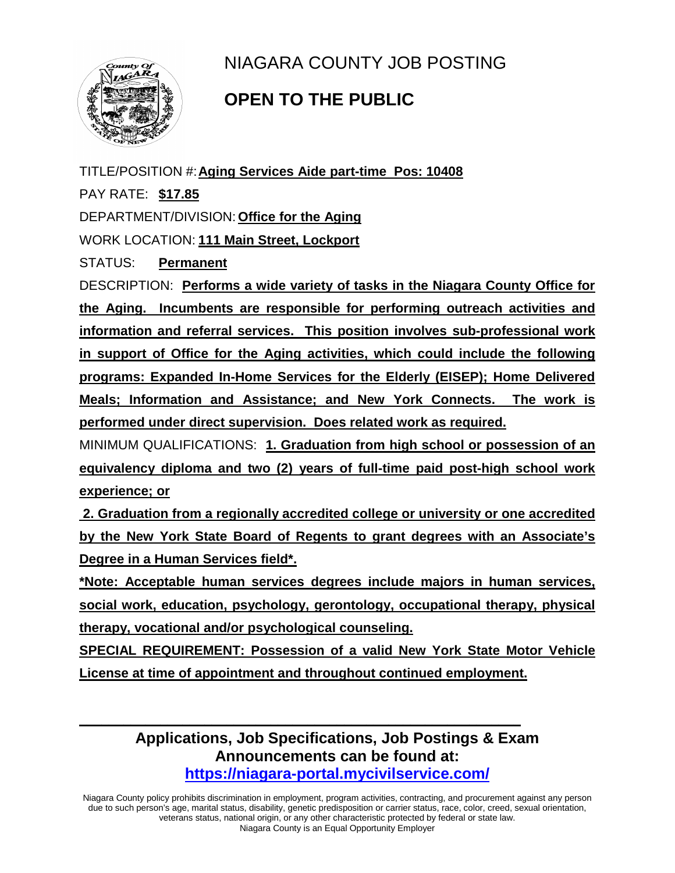

NIAGARA COUNTY JOB POSTING

## **OPEN TO THE PUBLIC**

TITLE/POSITION #:**Aging Services Aide part-time Pos: 10408** PAY RATE: **\$17.85** DEPARTMENT/DIVISION: **Office for the Aging** WORK LOCATION: **111 Main Street, Lockport** STATUS: **Permanent** DESCRIPTION: **Performs a wide variety of tasks in the Niagara County Office for the Aging. Incumbents are responsible for performing outreach activities and information and referral services. This position involves sub-professional work** 

**in support of Office for the Aging activities, which could include the following programs: Expanded In-Home Services for the Elderly (EISEP); Home Delivered Meals; Information and Assistance; and New York Connects. The work is performed under direct supervision. Does related work as required.** 

MINIMUM QUALIFICATIONS: **1. Graduation from high school or possession of an equivalency diploma and two (2) years of full-time paid post-high school work experience; or** 

**2. Graduation from a regionally accredited college or university or one accredited by the New York State Board of Regents to grant degrees with an Associate's Degree in a Human Services field\*.** 

**\*Note: Acceptable human services degrees include majors in human services, social work, education, psychology, gerontology, occupational therapy, physical therapy, vocational and/or psychological counseling.** 

**SPECIAL REQUIREMENT: Possession of a valid New York State Motor Vehicle License at time of appointment and throughout continued employment.** 

> **Applications, Job Specifications, Job Postings & Exam Announcements can be found at: <https://niagara-portal.mycivilservice.com/>**

**\_\_\_\_\_\_\_\_\_\_\_\_\_\_\_\_\_\_\_\_\_\_\_\_\_\_\_\_\_\_\_\_\_\_\_\_\_\_\_\_\_\_\_\_\_\_\_\_\_\_\_\_\_\_\_\_\_\_\_\_**

Niagara County policy prohibits discrimination in employment, program activities, contracting, and procurement against any person due to such person's age, marital status, disability, genetic predisposition or carrier status, race, color, creed, sexual orientation, veterans status, national origin, or any other characteristic protected by federal or state law. Niagara County is an Equal Opportunity Employer